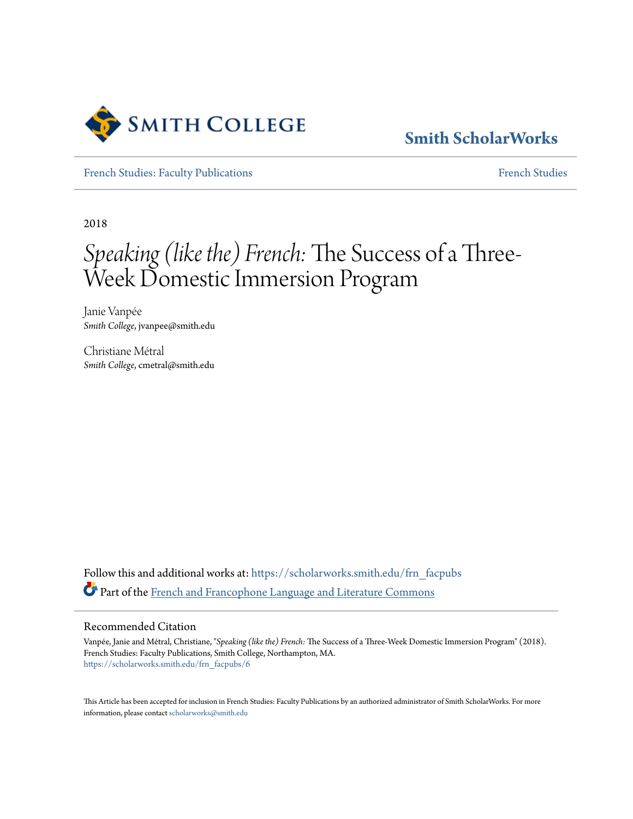

# **[Smith ScholarWorks](https://scholarworks.smith.edu?utm_source=scholarworks.smith.edu%2Ffrn_facpubs%2F6&utm_medium=PDF&utm_campaign=PDFCoverPages)**

[French Studies: Faculty Publications](https://scholarworks.smith.edu/frn_facpubs?utm_source=scholarworks.smith.edu%2Ffrn_facpubs%2F6&utm_medium=PDF&utm_campaign=PDFCoverPages) [French Studies](https://scholarworks.smith.edu/frn?utm_source=scholarworks.smith.edu%2Ffrn_facpubs%2F6&utm_medium=PDF&utm_campaign=PDFCoverPages)

2018

# *Speaking (like the) French:* The Success of a Three-Week Domestic Immersion Program

Janie Vanpée *Smith College*, jvanpee@smith.edu

Christiane Métral *Smith College*, cmetral@smith.edu

Follow this and additional works at: [https://scholarworks.smith.edu/frn\\_facpubs](https://scholarworks.smith.edu/frn_facpubs?utm_source=scholarworks.smith.edu%2Ffrn_facpubs%2F6&utm_medium=PDF&utm_campaign=PDFCoverPages) Part of the [French and Francophone Language and Literature Commons](http://network.bepress.com/hgg/discipline/463?utm_source=scholarworks.smith.edu%2Ffrn_facpubs%2F6&utm_medium=PDF&utm_campaign=PDFCoverPages)

#### Recommended Citation

Vanpée, Janie and Métral, Christiane, "*Speaking (like the) French:* The Success of a Three-Week Domestic Immersion Program" (2018). French Studies: Faculty Publications, Smith College, Northampton, MA. [https://scholarworks.smith.edu/frn\\_facpubs/6](https://scholarworks.smith.edu/frn_facpubs/6?utm_source=scholarworks.smith.edu%2Ffrn_facpubs%2F6&utm_medium=PDF&utm_campaign=PDFCoverPages)

This Article has been accepted for inclusion in French Studies: Faculty Publications by an authorized administrator of Smith ScholarWorks. For more information, please contact [scholarworks@smith.edu](mailto:scholarworks@smith.edu)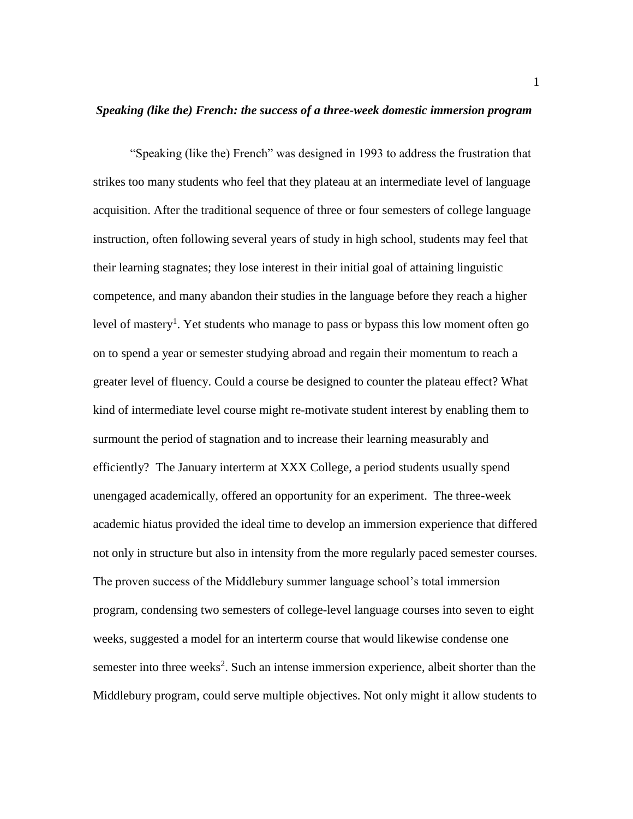## *Speaking (like the) French: the success of a three-week domestic immersion program*

"Speaking (like the) French" was designed in 1993 to address the frustration that strikes too many students who feel that they plateau at an intermediate level of language acquisition. After the traditional sequence of three or four semesters of college language instruction, often following several years of study in high school, students may feel that their learning stagnates; they lose interest in their initial goal of attaining linguistic competence, and many abandon their studies in the language before they reach a higher level of mastery<sup>1</sup>. Yet students who manage to pass or bypass this low moment often go on to spend a year or semester studying abroad and regain their momentum to reach a greater level of fluency. Could a course be designed to counter the plateau effect? What kind of intermediate level course might re-motivate student interest by enabling them to surmount the period of stagnation and to increase their learning measurably and efficiently? The January interterm at XXX College, a period students usually spend unengaged academically, offered an opportunity for an experiment. The three-week academic hiatus provided the ideal time to develop an immersion experience that differed not only in structure but also in intensity from the more regularly paced semester courses. The proven success of the Middlebury summer language school's total immersion program, condensing two semesters of college-level language courses into seven to eight weeks, suggested a model for an interterm course that would likewise condense one semester into three weeks<sup>2</sup>. Such an intense immersion experience, albeit shorter than the Middlebury program, could serve multiple objectives. Not only might it allow students to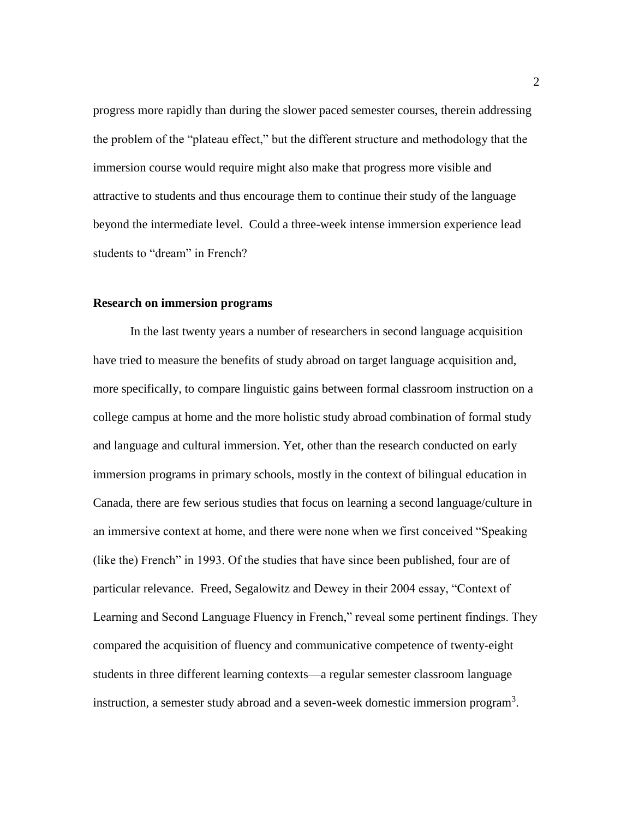progress more rapidly than during the slower paced semester courses, therein addressing the problem of the "plateau effect," but the different structure and methodology that the immersion course would require might also make that progress more visible and attractive to students and thus encourage them to continue their study of the language beyond the intermediate level. Could a three-week intense immersion experience lead students to "dream" in French?

#### **Research on immersion programs**

In the last twenty years a number of researchers in second language acquisition have tried to measure the benefits of study abroad on target language acquisition and, more specifically, to compare linguistic gains between formal classroom instruction on a college campus at home and the more holistic study abroad combination of formal study and language and cultural immersion. Yet, other than the research conducted on early immersion programs in primary schools, mostly in the context of bilingual education in Canada, there are few serious studies that focus on learning a second language/culture in an immersive context at home, and there were none when we first conceived "Speaking (like the) French" in 1993. Of the studies that have since been published, four are of particular relevance. Freed, Segalowitz and Dewey in their 2004 essay, "Context of Learning and Second Language Fluency in French," reveal some pertinent findings. They compared the acquisition of fluency and communicative competence of twenty-eight students in three different learning contexts—a regular semester classroom language instruction, a semester study abroad and a seven-week domestic immersion program<sup>3</sup>.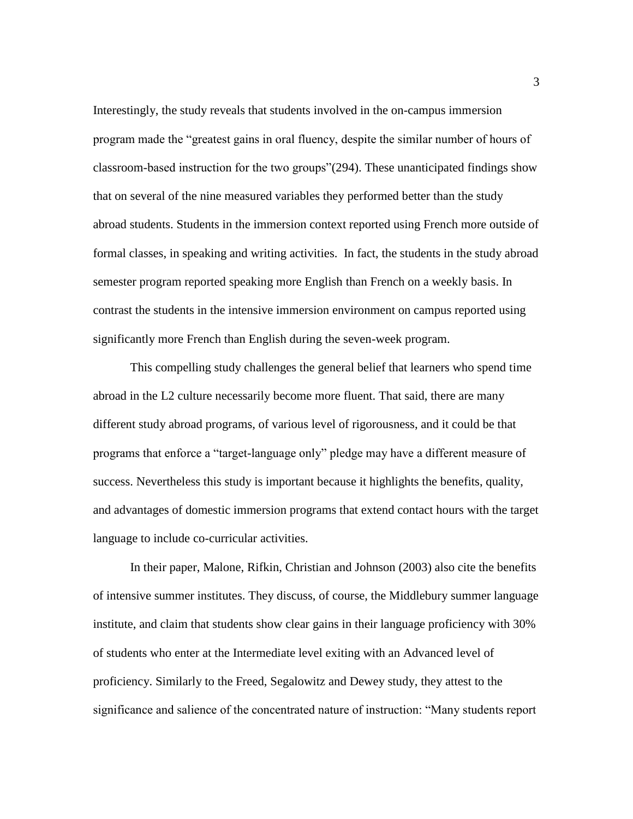Interestingly, the study reveals that students involved in the on-campus immersion program made the "greatest gains in oral fluency, despite the similar number of hours of classroom-based instruction for the two groups"(294). These unanticipated findings show that on several of the nine measured variables they performed better than the study abroad students. Students in the immersion context reported using French more outside of formal classes, in speaking and writing activities. In fact, the students in the study abroad semester program reported speaking more English than French on a weekly basis. In contrast the students in the intensive immersion environment on campus reported using significantly more French than English during the seven-week program.

This compelling study challenges the general belief that learners who spend time abroad in the L2 culture necessarily become more fluent. That said, there are many different study abroad programs, of various level of rigorousness, and it could be that programs that enforce a "target-language only" pledge may have a different measure of success. Nevertheless this study is important because it highlights the benefits, quality, and advantages of domestic immersion programs that extend contact hours with the target language to include co-curricular activities.

In their paper, Malone, Rifkin, Christian and Johnson (2003) also cite the benefits of intensive summer institutes. They discuss, of course, the Middlebury summer language institute, and claim that students show clear gains in their language proficiency with 30% of students who enter at the Intermediate level exiting with an Advanced level of proficiency. Similarly to the Freed, Segalowitz and Dewey study, they attest to the significance and salience of the concentrated nature of instruction: "Many students report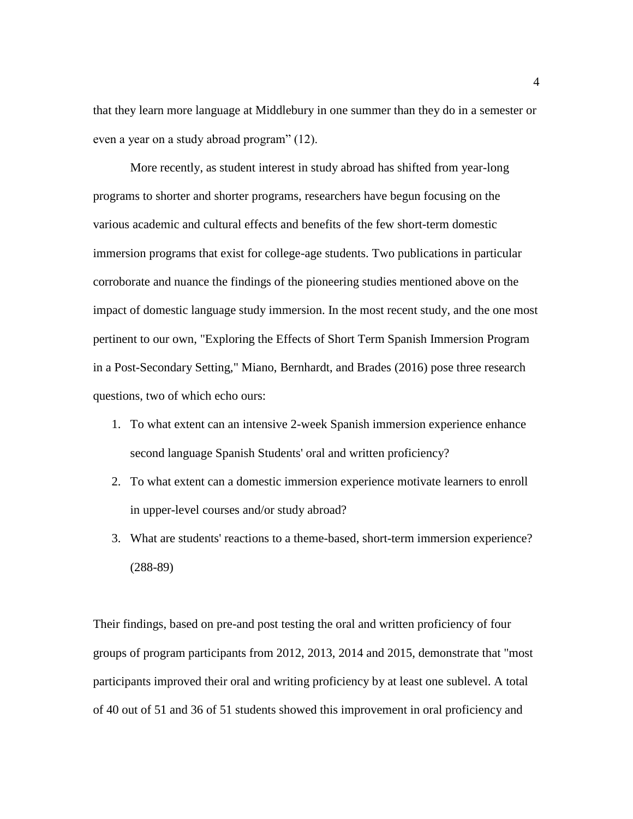that they learn more language at Middlebury in one summer than they do in a semester or even a year on a study abroad program" (12).

 More recently, as student interest in study abroad has shifted from year-long programs to shorter and shorter programs, researchers have begun focusing on the various academic and cultural effects and benefits of the few short-term domestic immersion programs that exist for college-age students. Two publications in particular corroborate and nuance the findings of the pioneering studies mentioned above on the impact of domestic language study immersion. In the most recent study, and the one most pertinent to our own, "Exploring the Effects of Short Term Spanish Immersion Program in a Post-Secondary Setting," Miano, Bernhardt, and Brades (2016) pose three research questions, two of which echo ours:

- 1. To what extent can an intensive 2-week Spanish immersion experience enhance second language Spanish Students' oral and written proficiency?
- 2. To what extent can a domestic immersion experience motivate learners to enroll in upper-level courses and/or study abroad?
- 3. What are students' reactions to a theme-based, short-term immersion experience? (288-89)

Their findings, based on pre-and post testing the oral and written proficiency of four groups of program participants from 2012, 2013, 2014 and 2015, demonstrate that "most participants improved their oral and writing proficiency by at least one sublevel. A total of 40 out of 51 and 36 of 51 students showed this improvement in oral proficiency and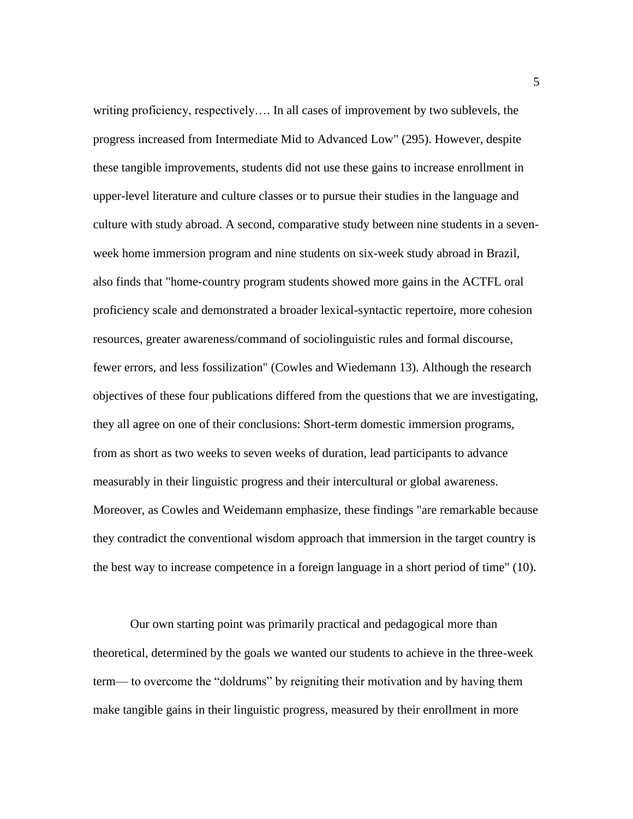writing proficiency, respectively…. In all cases of improvement by two sublevels, the progress increased from Intermediate Mid to Advanced Low" (295). However, despite these tangible improvements, students did not use these gains to increase enrollment in upper-level literature and culture classes or to pursue their studies in the language and culture with study abroad. A second, comparative study between nine students in a sevenweek home immersion program and nine students on six-week study abroad in Brazil, also finds that "home-country program students showed more gains in the ACTFL oral proficiency scale and demonstrated a broader lexical-syntactic repertoire, more cohesion resources, greater awareness/command of sociolinguistic rules and formal discourse, fewer errors, and less fossilization" (Cowles and Wiedemann 13). Although the research objectives of these four publications differed from the questions that we are investigating, they all agree on one of their conclusions: Short-term domestic immersion programs, from as short as two weeks to seven weeks of duration, lead participants to advance measurably in their linguistic progress and their intercultural or global awareness. Moreover, as Cowles and Weidemann emphasize, these findings "are remarkable because they contradict the conventional wisdom approach that immersion in the target country is the best way to increase competence in a foreign language in a short period of time" (10).

Our own starting point was primarily practical and pedagogical more than theoretical, determined by the goals we wanted our students to achieve in the three-week term— to overcome the "doldrums" by reigniting their motivation and by having them make tangible gains in their linguistic progress, measured by their enrollment in more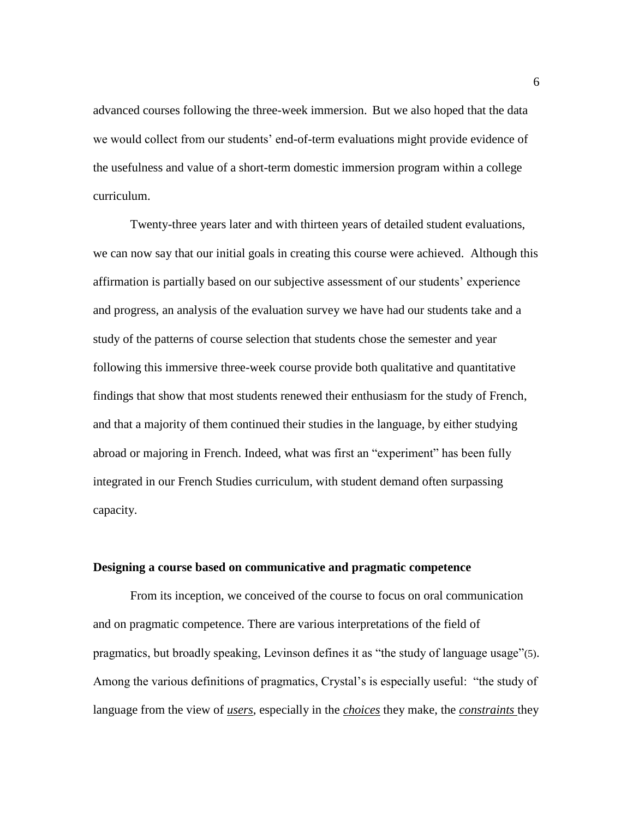advanced courses following the three-week immersion. But we also hoped that the data we would collect from our students' end-of-term evaluations might provide evidence of the usefulness and value of a short-term domestic immersion program within a college curriculum.

Twenty-three years later and with thirteen years of detailed student evaluations, we can now say that our initial goals in creating this course were achieved. Although this affirmation is partially based on our subjective assessment of our students' experience and progress, an analysis of the evaluation survey we have had our students take and a study of the patterns of course selection that students chose the semester and year following this immersive three-week course provide both qualitative and quantitative findings that show that most students renewed their enthusiasm for the study of French, and that a majority of them continued their studies in the language, by either studying abroad or majoring in French. Indeed, what was first an "experiment" has been fully integrated in our French Studies curriculum, with student demand often surpassing capacity.

#### **Designing a course based on communicative and pragmatic competence**

From its inception, we conceived of the course to focus on oral communication and on pragmatic competence. There are various interpretations of the field of pragmatics, but broadly speaking, Levinson defines it as "the study of language usage"(5). Among the various definitions of pragmatics, Crystal's is especially useful: "the study of language from the view of *users*, especially in the *choices* they make, the *constraints* they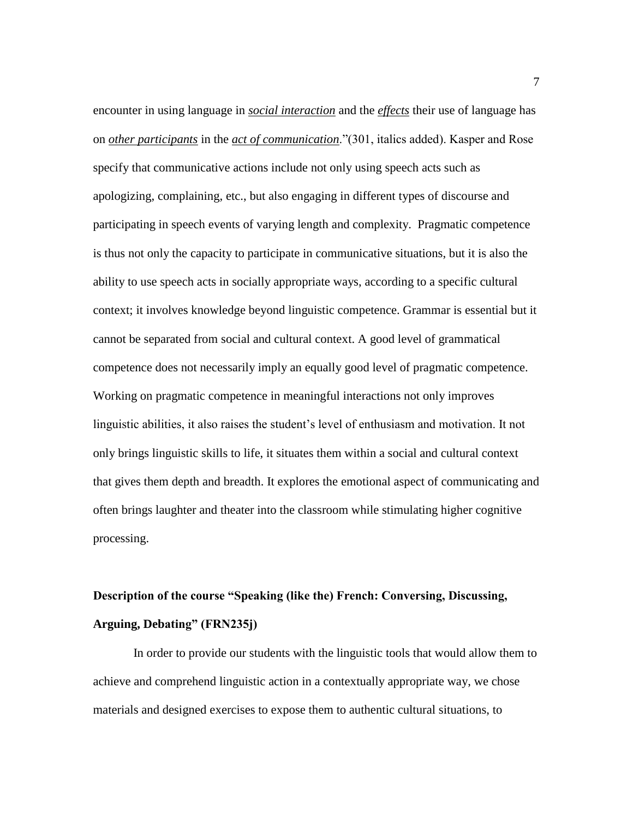encounter in using language in *social interaction* and the *effects* their use of language has on *other participants* in the *act of communication*."(301, italics added). Kasper and Rose specify that communicative actions include not only using speech acts such as apologizing, complaining, etc., but also engaging in different types of discourse and participating in speech events of varying length and complexity. Pragmatic competence is thus not only the capacity to participate in communicative situations, but it is also the ability to use speech acts in socially appropriate ways, according to a specific cultural context; it involves knowledge beyond linguistic competence. Grammar is essential but it cannot be separated from social and cultural context. A good level of grammatical competence does not necessarily imply an equally good level of pragmatic competence. Working on pragmatic competence in meaningful interactions not only improves linguistic abilities, it also raises the student's level of enthusiasm and motivation. It not only brings linguistic skills to life, it situates them within a social and cultural context that gives them depth and breadth. It explores the emotional aspect of communicating and often brings laughter and theater into the classroom while stimulating higher cognitive processing.

# **Description of the course "Speaking (like the) French: Conversing, Discussing, Arguing, Debating" (FRN235j)**

In order to provide our students with the linguistic tools that would allow them to achieve and comprehend linguistic action in a contextually appropriate way, we chose materials and designed exercises to expose them to authentic cultural situations, to

7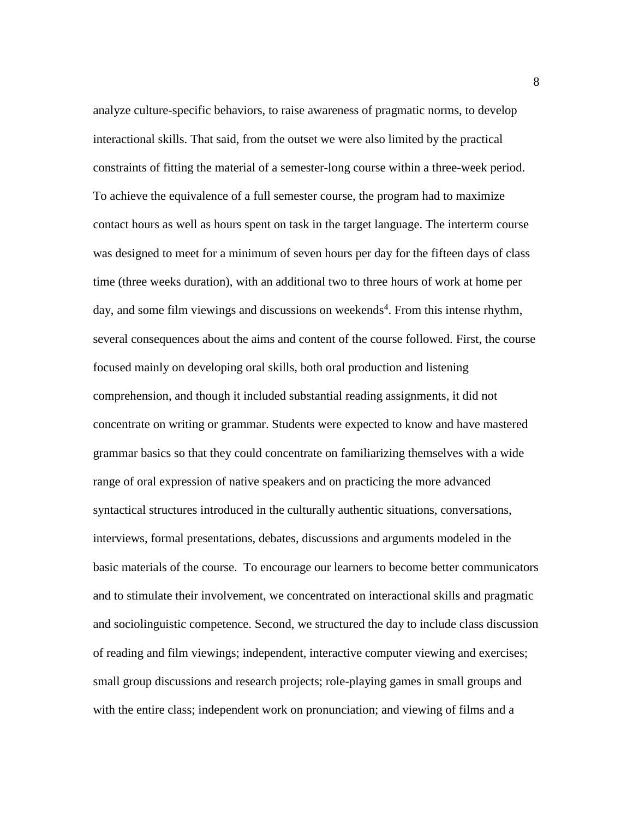analyze culture-specific behaviors, to raise awareness of pragmatic norms, to develop interactional skills. That said, from the outset we were also limited by the practical constraints of fitting the material of a semester-long course within a three-week period. To achieve the equivalence of a full semester course, the program had to maximize contact hours as well as hours spent on task in the target language. The interterm course was designed to meet for a minimum of seven hours per day for the fifteen days of class time (three weeks duration), with an additional two to three hours of work at home per day, and some film viewings and discussions on weekends<sup>4</sup>. From this intense rhythm, several consequences about the aims and content of the course followed. First, the course focused mainly on developing oral skills, both oral production and listening comprehension, and though it included substantial reading assignments, it did not concentrate on writing or grammar. Students were expected to know and have mastered grammar basics so that they could concentrate on familiarizing themselves with a wide range of oral expression of native speakers and on practicing the more advanced syntactical structures introduced in the culturally authentic situations, conversations, interviews, formal presentations, debates, discussions and arguments modeled in the basic materials of the course. To encourage our learners to become better communicators and to stimulate their involvement, we concentrated on interactional skills and pragmatic and sociolinguistic competence. Second, we structured the day to include class discussion of reading and film viewings; independent, interactive computer viewing and exercises; small group discussions and research projects; role-playing games in small groups and with the entire class; independent work on pronunciation; and viewing of films and a

8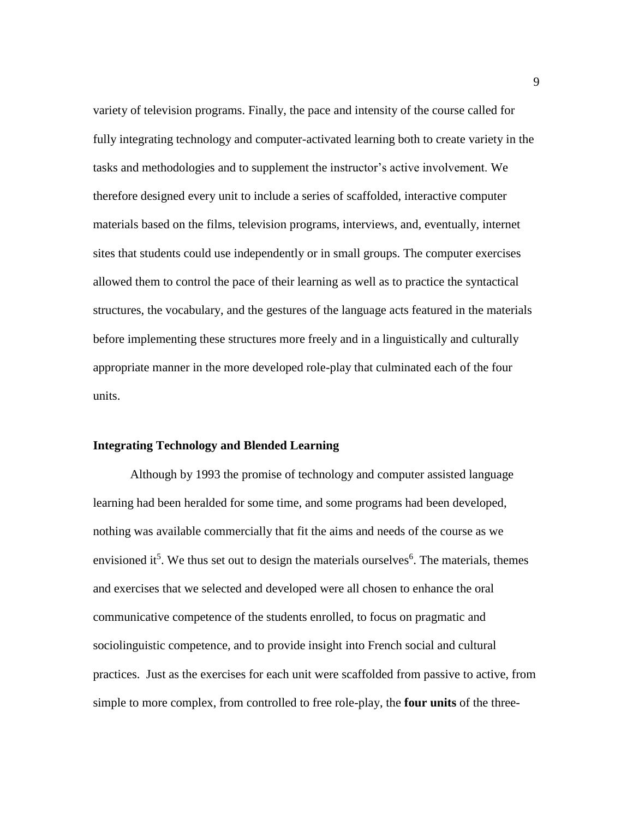variety of television programs. Finally, the pace and intensity of the course called for fully integrating technology and computer-activated learning both to create variety in the tasks and methodologies and to supplement the instructor's active involvement. We therefore designed every unit to include a series of scaffolded, interactive computer materials based on the films, television programs, interviews, and, eventually, internet sites that students could use independently or in small groups. The computer exercises allowed them to control the pace of their learning as well as to practice the syntactical structures, the vocabulary, and the gestures of the language acts featured in the materials before implementing these structures more freely and in a linguistically and culturally appropriate manner in the more developed role-play that culminated each of the four units.

## **Integrating Technology and Blended Learning**

Although by 1993 the promise of technology and computer assisted language learning had been heralded for some time, and some programs had been developed, nothing was available commercially that fit the aims and needs of the course as we envisioned it<sup>5</sup>. We thus set out to design the materials ourselves<sup>6</sup>. The materials, themes and exercises that we selected and developed were all chosen to enhance the oral communicative competence of the students enrolled, to focus on pragmatic and sociolinguistic competence, and to provide insight into French social and cultural practices. Just as the exercises for each unit were scaffolded from passive to active, from simple to more complex, from controlled to free role-play, the **four units** of the three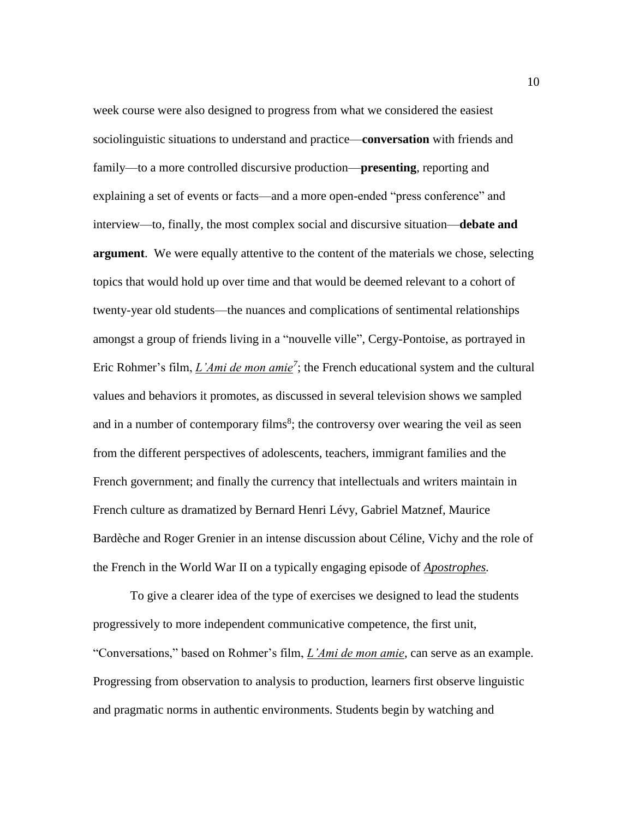week course were also designed to progress from what we considered the easiest sociolinguistic situations to understand and practice—**conversation** with friends and family—to a more controlled discursive production—**presenting**, reporting and explaining a set of events or facts—and a more open-ended "press conference" and interview—to, finally, the most complex social and discursive situation—**debate and argument**. We were equally attentive to the content of the materials we chose, selecting topics that would hold up over time and that would be deemed relevant to a cohort of twenty-year old students—the nuances and complications of sentimental relationships amongst a group of friends living in a "nouvelle ville", Cergy-Pontoise, as portrayed in Eric Rohmer's film, *L'Ami de mon amie*<sup>7</sup>; the French educational system and the cultural values and behaviors it promotes, as discussed in several television shows we sampled and in a number of contemporary films<sup>8</sup>; the controversy over wearing the veil as seen from the different perspectives of adolescents, teachers, immigrant families and the French government; and finally the currency that intellectuals and writers maintain in French culture as dramatized by Bernard Henri Lévy, Gabriel Matznef, Maurice Bardèche and Roger Grenier in an intense discussion about Céline, Vichy and the role of the French in the World War II on a typically engaging episode of *Apostrophes.*

To give a clearer idea of the type of exercises we designed to lead the students progressively to more independent communicative competence, the first unit, "Conversations," based on Rohmer's film, *L'Ami de mon amie*, can serve as an example. Progressing from observation to analysis to production, learners first observe linguistic and pragmatic norms in authentic environments. Students begin by watching and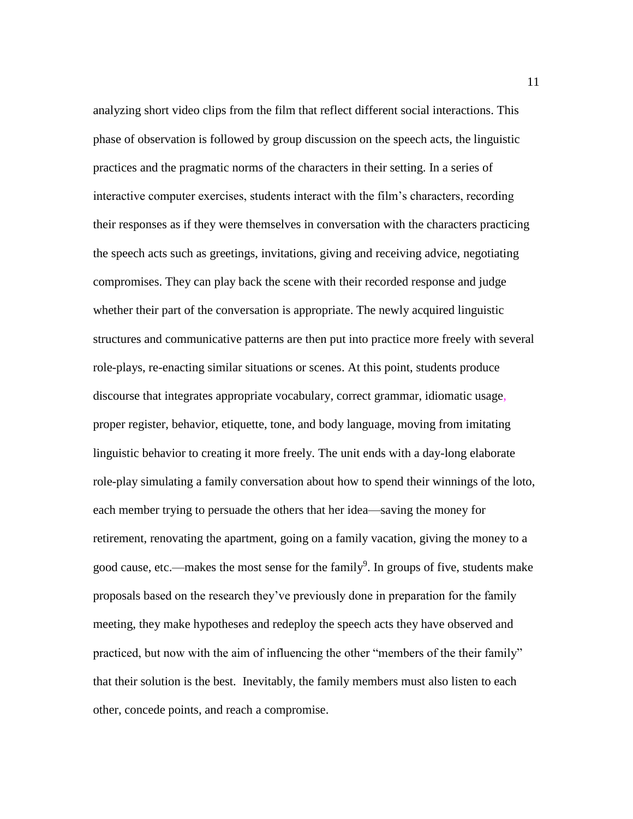analyzing short video clips from the film that reflect different social interactions. This phase of observation is followed by group discussion on the speech acts, the linguistic practices and the pragmatic norms of the characters in their setting. In a series of interactive computer exercises, students interact with the film's characters, recording their responses as if they were themselves in conversation with the characters practicing the speech acts such as greetings, invitations, giving and receiving advice, negotiating compromises. They can play back the scene with their recorded response and judge whether their part of the conversation is appropriate. The newly acquired linguistic structures and communicative patterns are then put into practice more freely with several role-plays, re-enacting similar situations or scenes. At this point, students produce discourse that integrates appropriate vocabulary, correct grammar, idiomatic usage, proper register, behavior, etiquette, tone, and body language, moving from imitating linguistic behavior to creating it more freely. The unit ends with a day-long elaborate role-play simulating a family conversation about how to spend their winnings of the loto, each member trying to persuade the others that her idea—saving the money for retirement, renovating the apartment, going on a family vacation, giving the money to a good cause, etc.—makes the most sense for the family<sup>9</sup>. In groups of five, students make proposals based on the research they've previously done in preparation for the family meeting, they make hypotheses and redeploy the speech acts they have observed and practiced, but now with the aim of influencing the other "members of the their family" that their solution is the best. Inevitably, the family members must also listen to each other, concede points, and reach a compromise.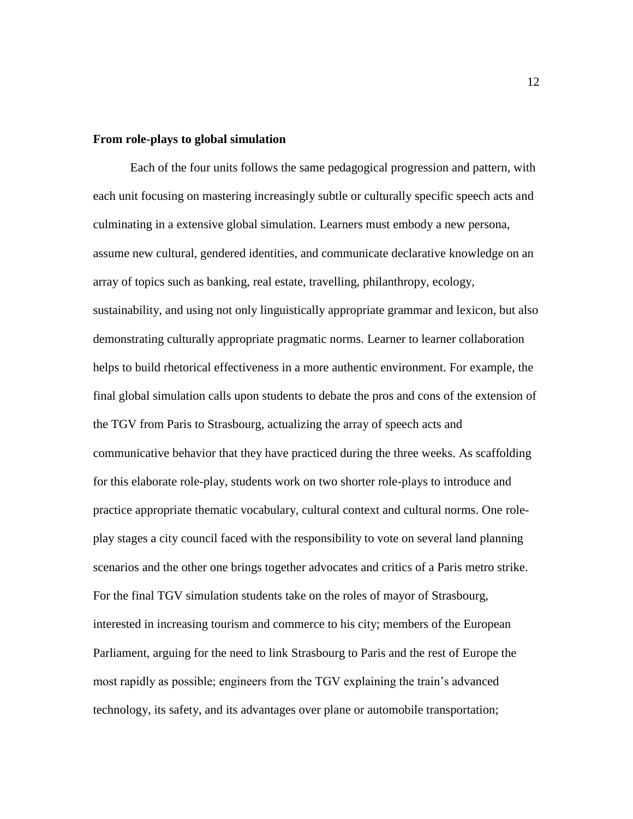## **From role-plays to global simulation**

Each of the four units follows the same pedagogical progression and pattern, with each unit focusing on mastering increasingly subtle or culturally specific speech acts and culminating in a extensive global simulation. Learners must embody a new persona, assume new cultural, gendered identities, and communicate declarative knowledge on an array of topics such as banking, real estate, travelling, philanthropy, ecology, sustainability, and using not only linguistically appropriate grammar and lexicon, but also demonstrating culturally appropriate pragmatic norms. Learner to learner collaboration helps to build rhetorical effectiveness in a more authentic environment. For example, the final global simulation calls upon students to debate the pros and cons of the extension of the TGV from Paris to Strasbourg, actualizing the array of speech acts and communicative behavior that they have practiced during the three weeks. As scaffolding for this elaborate role-play, students work on two shorter role-plays to introduce and practice appropriate thematic vocabulary, cultural context and cultural norms. One roleplay stages a city council faced with the responsibility to vote on several land planning scenarios and the other one brings together advocates and critics of a Paris metro strike. For the final TGV simulation students take on the roles of mayor of Strasbourg, interested in increasing tourism and commerce to his city; members of the European Parliament, arguing for the need to link Strasbourg to Paris and the rest of Europe the most rapidly as possible; engineers from the TGV explaining the train's advanced technology, its safety, and its advantages over plane or automobile transportation;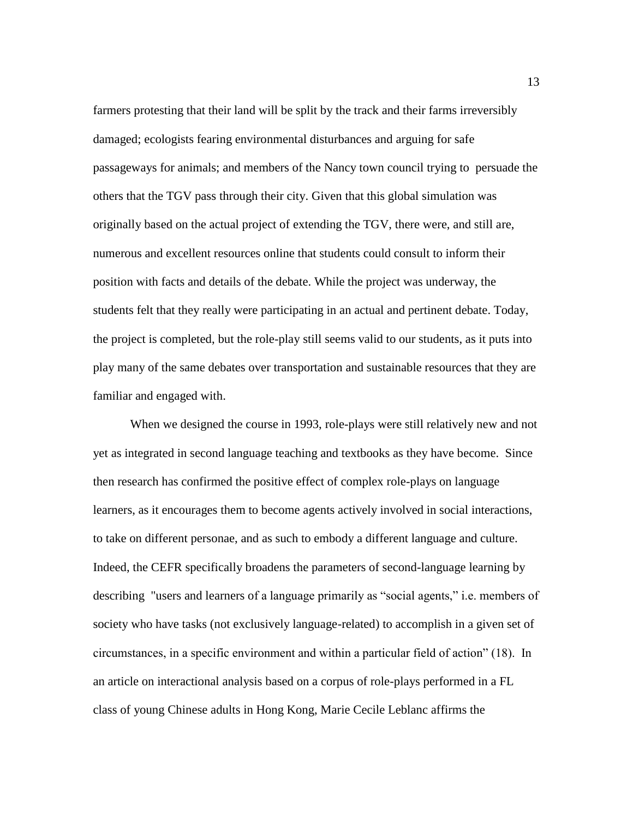farmers protesting that their land will be split by the track and their farms irreversibly damaged; ecologists fearing environmental disturbances and arguing for safe passageways for animals; and members of the Nancy town council trying to persuade the others that the TGV pass through their city. Given that this global simulation was originally based on the actual project of extending the TGV, there were, and still are, numerous and excellent resources online that students could consult to inform their position with facts and details of the debate. While the project was underway, the students felt that they really were participating in an actual and pertinent debate. Today, the project is completed, but the role-play still seems valid to our students, as it puts into play many of the same debates over transportation and sustainable resources that they are familiar and engaged with.

When we designed the course in 1993, role-plays were still relatively new and not yet as integrated in second language teaching and textbooks as they have become. Since then research has confirmed the positive effect of complex role-plays on language learners, as it encourages them to become agents actively involved in social interactions, to take on different personae, and as such to embody a different language and culture. Indeed, the CEFR specifically broadens the parameters of second-language learning by describing "users and learners of a language primarily as "social agents," i.e. members of society who have tasks (not exclusively language-related) to accomplish in a given set of circumstances, in a specific environment and within a particular field of action" (18). In an article on interactional analysis based on a corpus of role-plays performed in a FL class of young Chinese adults in Hong Kong, Marie Cecile Leblanc affirms the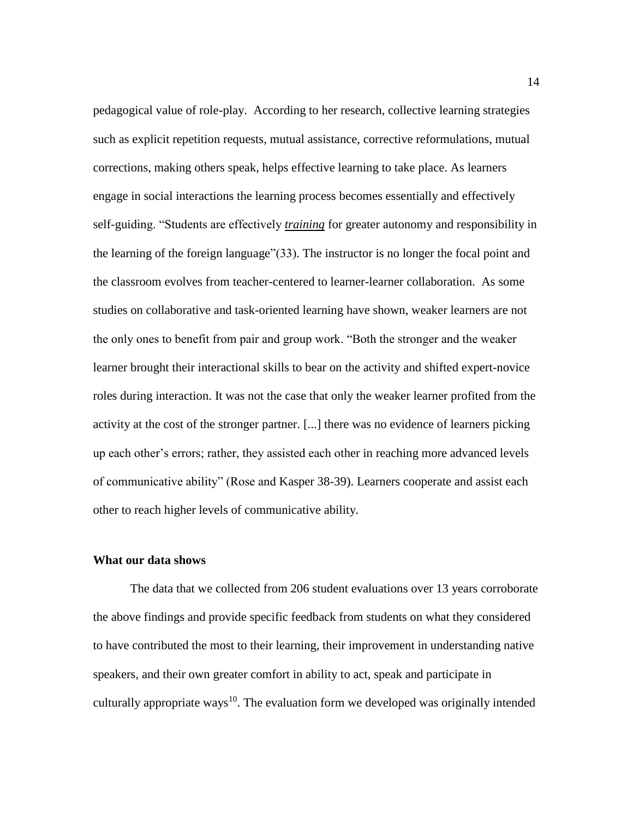pedagogical value of role-play. According to her research, collective learning strategies such as explicit repetition requests, mutual assistance, corrective reformulations, mutual corrections, making others speak, helps effective learning to take place. As learners engage in social interactions the learning process becomes essentially and effectively self-guiding. "Students are effectively *training* for greater autonomy and responsibility in the learning of the foreign language"(33). The instructor is no longer the focal point and the classroom evolves from teacher-centered to learner-learner collaboration. As some studies on collaborative and task-oriented learning have shown, weaker learners are not the only ones to benefit from pair and group work. "Both the stronger and the weaker learner brought their interactional skills to bear on the activity and shifted expert-novice roles during interaction. It was not the case that only the weaker learner profited from the activity at the cost of the stronger partner. [...] there was no evidence of learners picking up each other's errors; rather, they assisted each other in reaching more advanced levels of communicative ability" (Rose and Kasper 38-39). Learners cooperate and assist each other to reach higher levels of communicative ability.

## **What our data shows**

The data that we collected from 206 student evaluations over 13 years corroborate the above findings and provide specific feedback from students on what they considered to have contributed the most to their learning, their improvement in understanding native speakers, and their own greater comfort in ability to act, speak and participate in culturally appropriate ways<sup>10</sup>. The evaluation form we developed was originally intended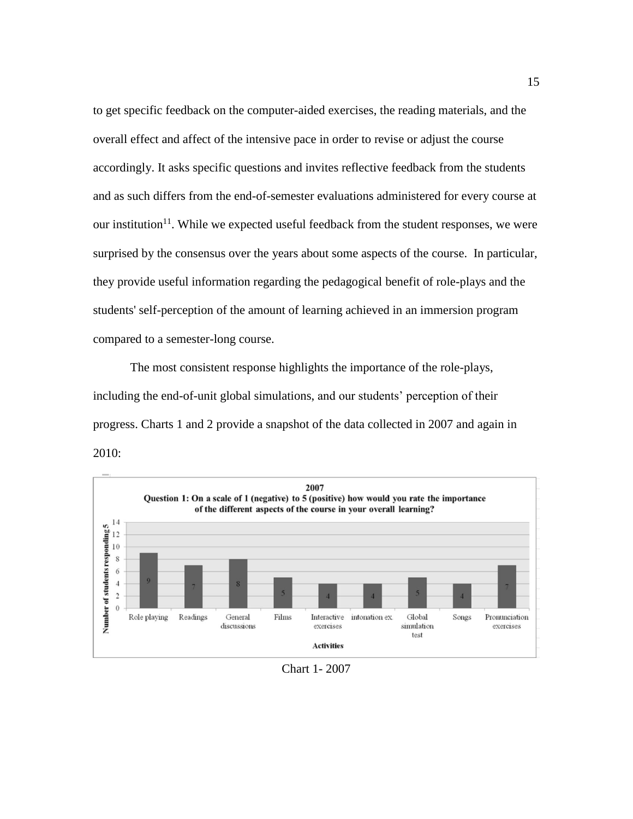to get specific feedback on the computer-aided exercises, the reading materials, and the overall effect and affect of the intensive pace in order to revise or adjust the course accordingly. It asks specific questions and invites reflective feedback from the students and as such differs from the end-of-semester evaluations administered for every course at our institution<sup>11</sup>. While we expected useful feedback from the student responses, we were surprised by the consensus over the years about some aspects of the course. In particular, they provide useful information regarding the pedagogical benefit of role-plays and the students' self-perception of the amount of learning achieved in an immersion program compared to a semester-long course.

The most consistent response highlights the importance of the role-plays, including the end-of-unit global simulations, and our students' perception of their progress. Charts 1 and 2 provide a snapshot of the data collected in 2007 and again in 2010:



Chart 1- 2007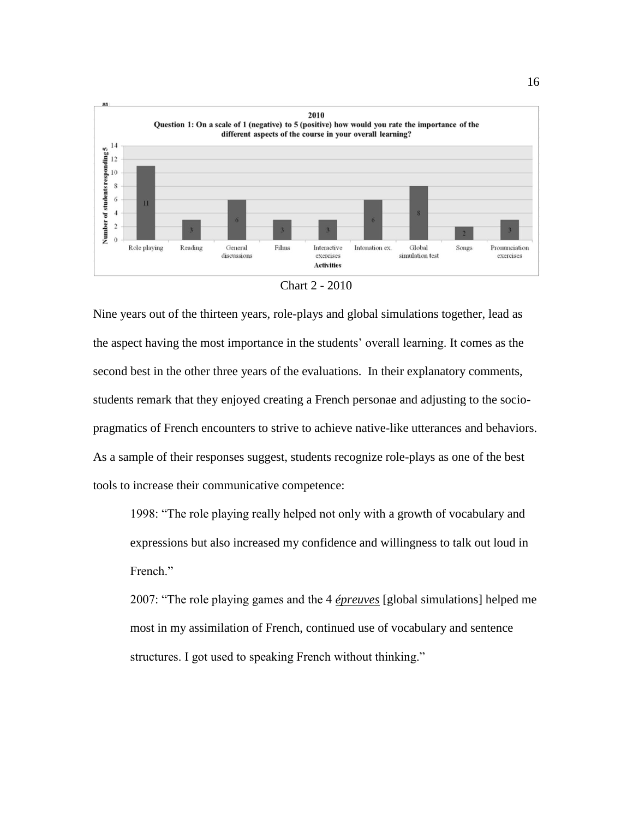

Chart 2 - 2010

Nine years out of the thirteen years, role-plays and global simulations together, lead as the aspect having the most importance in the students' overall learning. It comes as the second best in the other three years of the evaluations. In their explanatory comments, students remark that they enjoyed creating a French personae and adjusting to the sociopragmatics of French encounters to strive to achieve native-like utterances and behaviors. As a sample of their responses suggest, students recognize role-plays as one of the best tools to increase their communicative competence:

1998: "The role playing really helped not only with a growth of vocabulary and expressions but also increased my confidence and willingness to talk out loud in French."

2007: "The role playing games and the 4 *épreuves* [global simulations] helped me most in my assimilation of French, continued use of vocabulary and sentence structures. I got used to speaking French without thinking."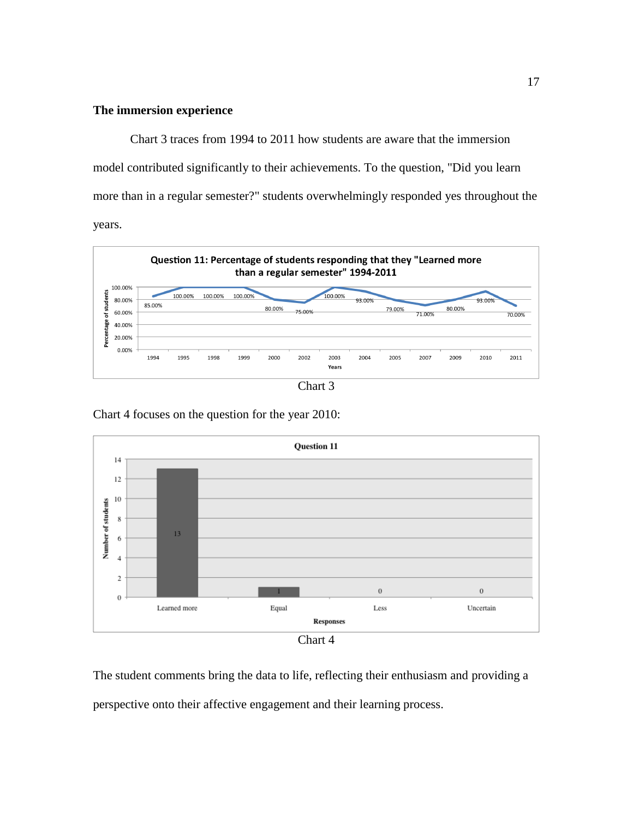# **The immersion experience**

Chart 3 traces from 1994 to 2011 how students are aware that the immersion model contributed significantly to their achievements. To the question, "Did you learn more than in a regular semester?" students overwhelmingly responded yes throughout the years.



Chart 3

**Ouestion 11**  $14$ 12  $10\,$ Number of students  $\,$  8  $\,$  $13<sup>°</sup>$ 6  $\overline{4}$  $\,2$  $\mathbf{0}$  $\boldsymbol{0}$  $\,$  0 Learned more Equal Less Uncertain **Responses** Chart 4

Chart 4 focuses on the question for the year 2010:

The student comments bring the data to life, reflecting their enthusiasm and providing a perspective onto their affective engagement and their learning process.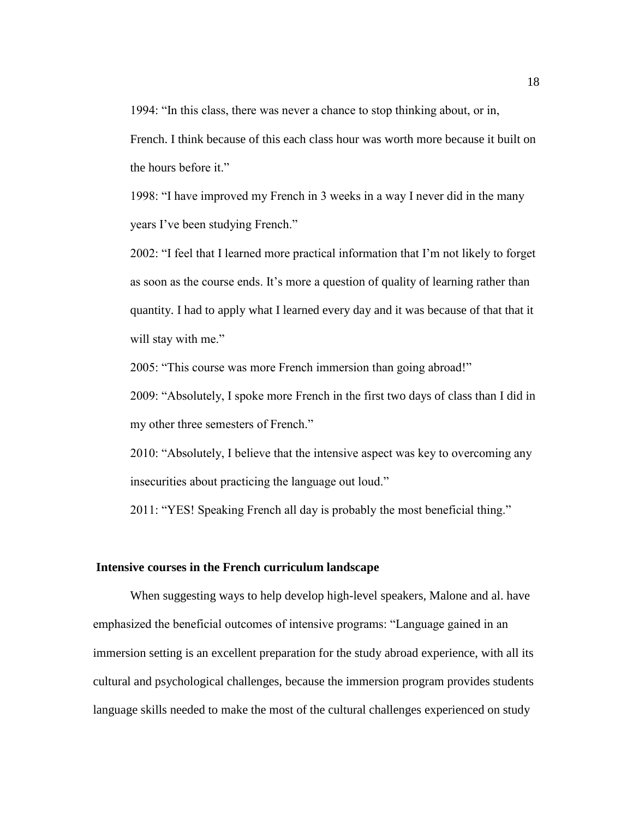1994: "In this class, there was never a chance to stop thinking about, or in,

French. I think because of this each class hour was worth more because it built on the hours before it."

1998: "I have improved my French in 3 weeks in a way I never did in the many years I've been studying French."

2002: "I feel that I learned more practical information that I'm not likely to forget as soon as the course ends. It's more a question of quality of learning rather than quantity. I had to apply what I learned every day and it was because of that that it will stay with me."

2005: "This course was more French immersion than going abroad!"

2009: "Absolutely, I spoke more French in the first two days of class than I did in my other three semesters of French."

2010: "Absolutely, I believe that the intensive aspect was key to overcoming any insecurities about practicing the language out loud."

2011: "YES! Speaking French all day is probably the most beneficial thing."

#### **Intensive courses in the French curriculum landscape**

When suggesting ways to help develop high-level speakers, Malone and al. have emphasized the beneficial outcomes of intensive programs: "Language gained in an immersion setting is an excellent preparation for the study abroad experience, with all its cultural and psychological challenges, because the immersion program provides students language skills needed to make the most of the cultural challenges experienced on study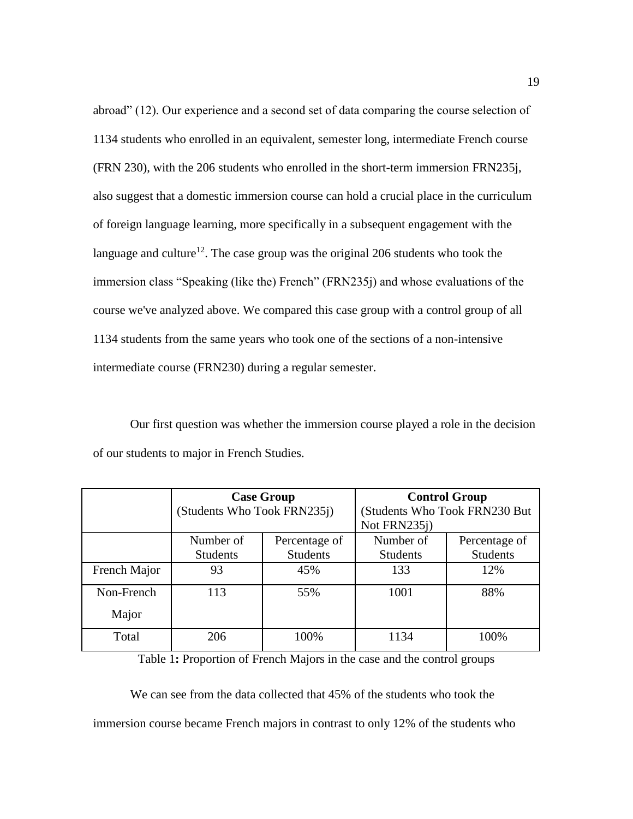abroad" (12). Our experience and a second set of data comparing the course selection of 1134 students who enrolled in an equivalent, semester long, intermediate French course (FRN 230), with the 206 students who enrolled in the short-term immersion FRN235j, also suggest that a domestic immersion course can hold a crucial place in the curriculum of foreign language learning, more specifically in a subsequent engagement with the language and culture<sup>12</sup>. The case group was the original 206 students who took the immersion class "Speaking (like the) French" (FRN235j) and whose evaluations of the course we've analyzed above. We compared this case group with a control group of all 1134 students from the same years who took one of the sections of a non-intensive intermediate course (FRN230) during a regular semester.

Our first question was whether the immersion course played a role in the decision of our students to major in French Studies.

|                     | <b>Case Group</b><br>(Students Who Took FRN235j) |                                  | <b>Control Group</b><br>(Students Who Took FRN230 But<br>Not FRN235j) |                                  |
|---------------------|--------------------------------------------------|----------------------------------|-----------------------------------------------------------------------|----------------------------------|
|                     | Number of<br><b>Students</b>                     | Percentage of<br><b>Students</b> | Number of<br><b>Students</b>                                          | Percentage of<br><b>Students</b> |
| French Major        | 93                                               | 45%                              | 133                                                                   | 12%                              |
| Non-French<br>Major | 113                                              | 55%                              | 1001                                                                  | 88%                              |
| Total               | 206                                              | 100%                             | 1134                                                                  | 100%                             |

Table 1**:** Proportion of French Majors in the case and the control groups

We can see from the data collected that 45% of the students who took the immersion course became French majors in contrast to only 12% of the students who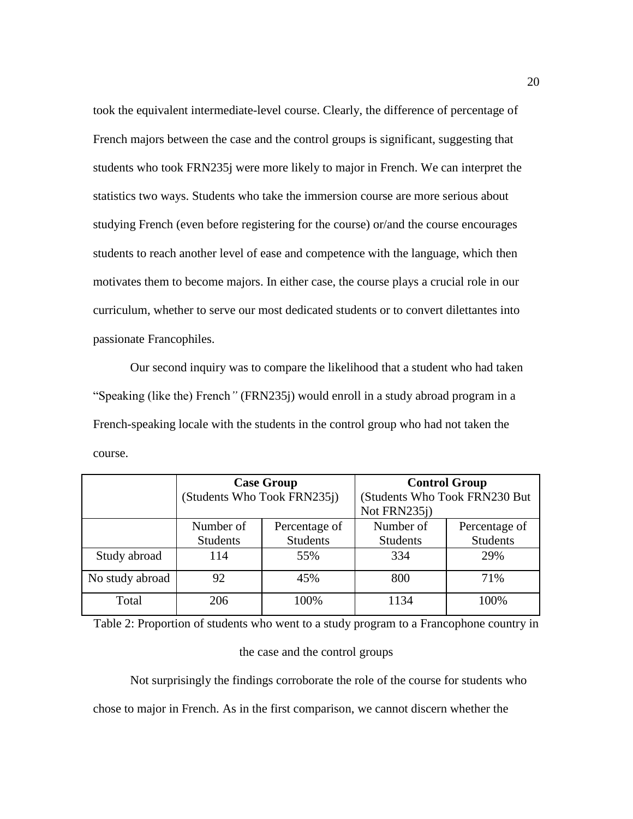took the equivalent intermediate-level course. Clearly, the difference of percentage of French majors between the case and the control groups is significant, suggesting that students who took FRN235j were more likely to major in French. We can interpret the statistics two ways. Students who take the immersion course are more serious about studying French (even before registering for the course) or/and the course encourages students to reach another level of ease and competence with the language, which then motivates them to become majors. In either case, the course plays a crucial role in our curriculum, whether to serve our most dedicated students or to convert dilettantes into passionate Francophiles.

Our second inquiry was to compare the likelihood that a student who had taken "Speaking (like the) French*"* (FRN235j) would enroll in a study abroad program in a French-speaking locale with the students in the control group who had not taken the course.

|                 | <b>Case Group</b><br>(Students Who Took FRN235j) |                                  | <b>Control Group</b><br>(Students Who Took FRN230 But |                                  |
|-----------------|--------------------------------------------------|----------------------------------|-------------------------------------------------------|----------------------------------|
|                 |                                                  |                                  | Not FRN235j)                                          |                                  |
|                 | Number of<br><b>Students</b>                     | Percentage of<br><b>Students</b> | Number of<br><b>Students</b>                          | Percentage of<br><b>Students</b> |
| Study abroad    | 114                                              | 55%                              | 334                                                   | 29%                              |
| No study abroad | 92                                               | 45%                              | 800                                                   | 71%                              |
| Total           | 206                                              | 100%                             | 1134                                                  | 100%                             |

Table 2: Proportion of students who went to a study program to a Francophone country in

#### the case and the control groups

Not surprisingly the findings corroborate the role of the course for students who chose to major in French. As in the first comparison, we cannot discern whether the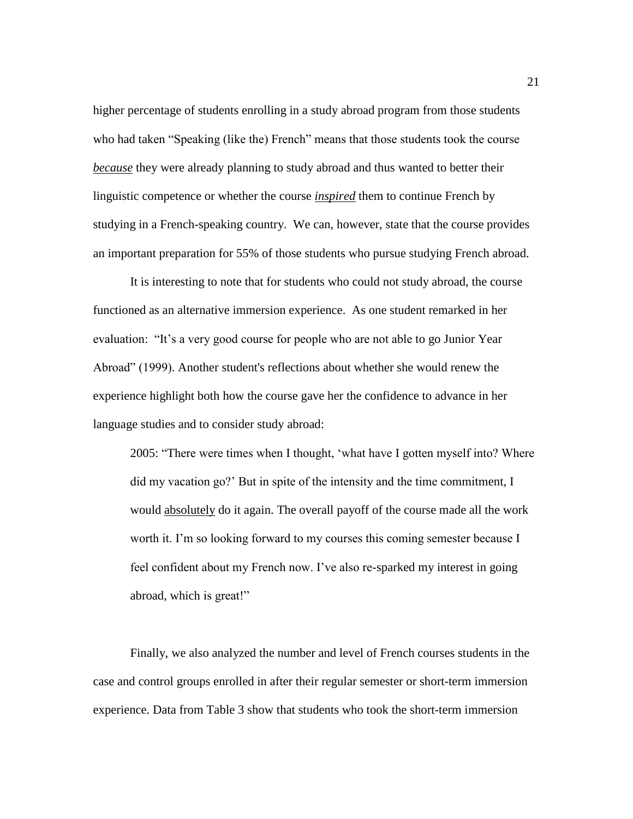higher percentage of students enrolling in a study abroad program from those students who had taken "Speaking (like the) French" means that those students took the course *because* they were already planning to study abroad and thus wanted to better their linguistic competence or whether the course *inspired* them to continue French by studying in a French-speaking country. We can, however, state that the course provides an important preparation for 55% of those students who pursue studying French abroad.

It is interesting to note that for students who could not study abroad, the course functioned as an alternative immersion experience. As one student remarked in her evaluation: "It's a very good course for people who are not able to go Junior Year Abroad" (1999). Another student's reflections about whether she would renew the experience highlight both how the course gave her the confidence to advance in her language studies and to consider study abroad:

2005: "There were times when I thought, 'what have I gotten myself into? Where did my vacation go?' But in spite of the intensity and the time commitment, I would absolutely do it again. The overall payoff of the course made all the work worth it. I'm so looking forward to my courses this coming semester because I feel confident about my French now. I've also re-sparked my interest in going abroad, which is great!"

Finally, we also analyzed the number and level of French courses students in the case and control groups enrolled in after their regular semester or short-term immersion experience. Data from Table 3 show that students who took the short-term immersion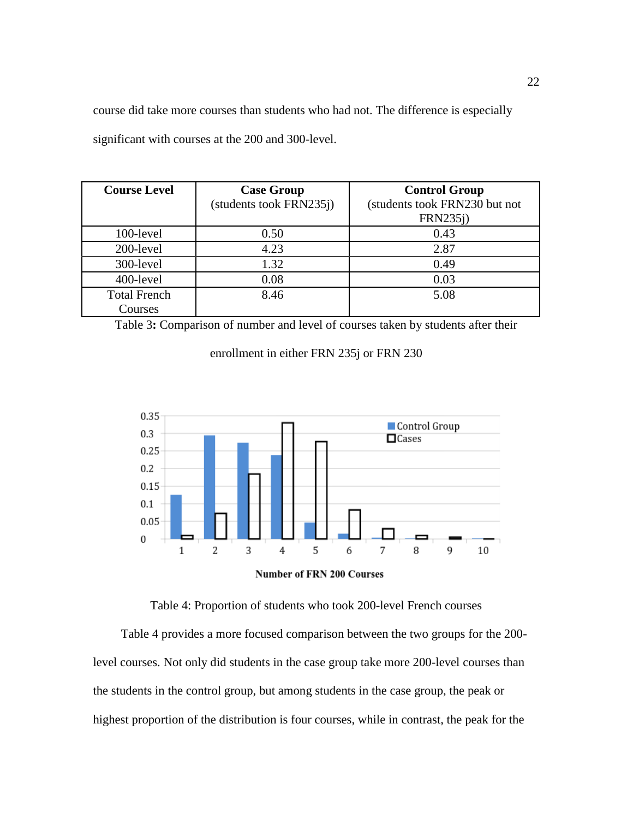course did take more courses than students who had not. The difference is especially significant with courses at the 200 and 300-level.

| <b>Course Level</b>            | <b>Case Group</b><br>(students took FRN235j) | <b>Control Group</b><br>(students took FRN230 but not<br><b>FRN235j)</b> |
|--------------------------------|----------------------------------------------|--------------------------------------------------------------------------|
| 100-level                      | 0.50                                         | 0.43                                                                     |
| 200-level                      | 4.23                                         | 2.87                                                                     |
| 300-level                      | 1.32                                         | 0.49                                                                     |
| 400-level                      | 0.08                                         | 0.03                                                                     |
| <b>Total French</b><br>Courses | 8.46                                         | 5.08                                                                     |

Table 3**:** Comparison of number and level of courses taken by students after their

# enrollment in either FRN 235j or FRN 230





Table 4: Proportion of students who took 200-level French courses

Table 4 provides a more focused comparison between the two groups for the 200 level courses. Not only did students in the case group take more 200-level courses than the students in the control group, but among students in the case group, the peak or highest proportion of the distribution is four courses, while in contrast, the peak for the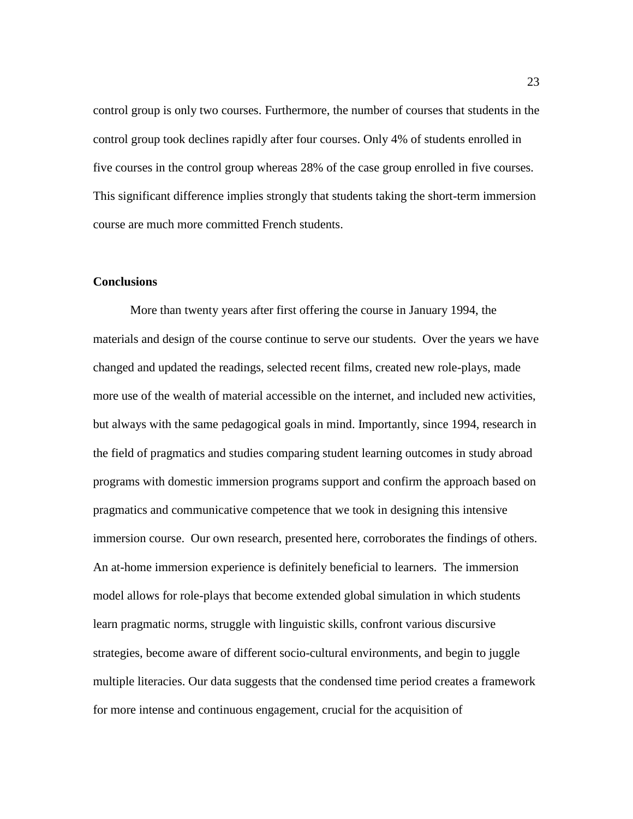control group is only two courses. Furthermore, the number of courses that students in the control group took declines rapidly after four courses. Only 4% of students enrolled in five courses in the control group whereas 28% of the case group enrolled in five courses. This significant difference implies strongly that students taking the short-term immersion course are much more committed French students.

#### **Conclusions**

More than twenty years after first offering the course in January 1994, the materials and design of the course continue to serve our students. Over the years we have changed and updated the readings, selected recent films, created new role-plays, made more use of the wealth of material accessible on the internet, and included new activities, but always with the same pedagogical goals in mind. Importantly, since 1994, research in the field of pragmatics and studies comparing student learning outcomes in study abroad programs with domestic immersion programs support and confirm the approach based on pragmatics and communicative competence that we took in designing this intensive immersion course. Our own research, presented here, corroborates the findings of others. An at-home immersion experience is definitely beneficial to learners. The immersion model allows for role-plays that become extended global simulation in which students learn pragmatic norms, struggle with linguistic skills, confront various discursive strategies, become aware of different socio-cultural environments, and begin to juggle multiple literacies. Our data suggests that the condensed time period creates a framework for more intense and continuous engagement, crucial for the acquisition of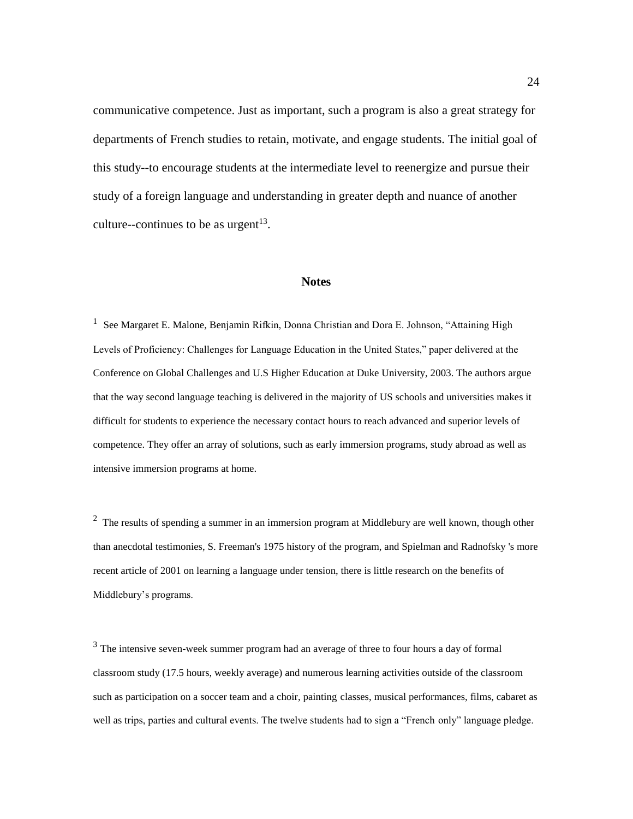communicative competence. Just as important, such a program is also a great strategy for departments of French studies to retain, motivate, and engage students. The initial goal of this study--to encourage students at the intermediate level to reenergize and pursue their study of a foreign language and understanding in greater depth and nuance of another culture--continues to be as urgent<sup>13</sup>.

#### **Notes**

<sup>1</sup> See Margaret E. Malone, Benjamin Rifkin, Donna Christian and Dora E. Johnson, "Attaining High Levels of Proficiency: Challenges for Language Education in the United States," paper delivered at the Conference on Global Challenges and U.S Higher Education at Duke University, 2003. The authors argue that the way second language teaching is delivered in the majority of US schools and universities makes it difficult for students to experience the necessary contact hours to reach advanced and superior levels of competence. They offer an array of solutions, such as early immersion programs, study abroad as well as intensive immersion programs at home.

<sup>2</sup> The results of spending a summer in an immersion program at Middlebury are well known, though other than anecdotal testimonies, S. Freeman's 1975 history of the program, and Spielman and Radnofsky 's more recent article of 2001 on learning a language under tension, there is little research on the benefits of Middlebury's programs.

 $3$  The intensive seven-week summer program had an average of three to four hours a day of formal classroom study (17.5 hours, weekly average) and numerous learning activities outside of the classroom such as participation on a soccer team and a choir, painting classes, musical performances, films, cabaret as well as trips, parties and cultural events. The twelve students had to sign a "French only" language pledge.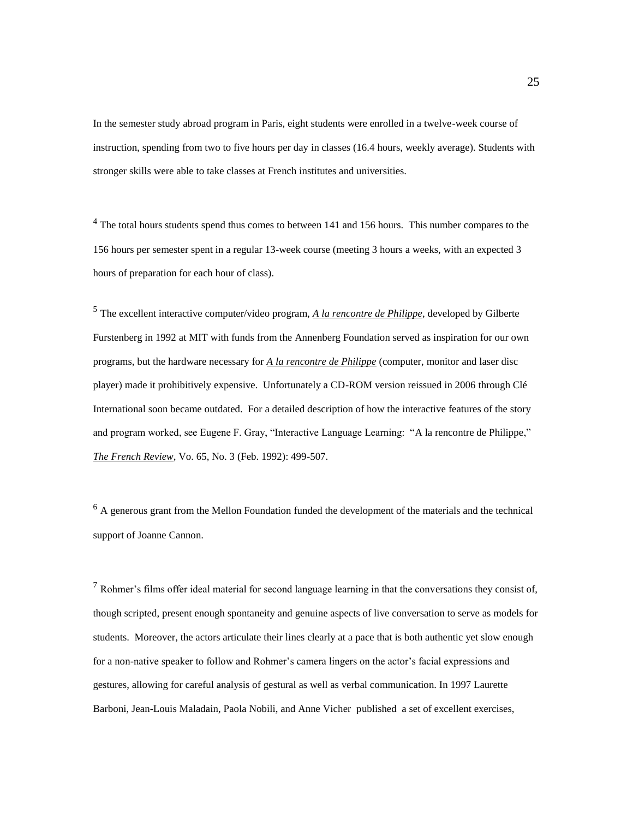In the semester study abroad program in Paris, eight students were enrolled in a twelve-week course of instruction, spending from two to five hours per day in classes (16.4 hours, weekly average). Students with stronger skills were able to take classes at French institutes and universities.

 $4$  The total hours students spend thus comes to between 141 and 156 hours. This number compares to the 156 hours per semester spent in a regular 13-week course (meeting 3 hours a weeks, with an expected 3 hours of preparation for each hour of class).

<sup>5</sup> The excellent interactive computer/video program, *A la rencontre de Philippe*, developed by Gilberte Furstenberg in 1992 at MIT with funds from the Annenberg Foundation served as inspiration for our own programs, but the hardware necessary for *A la rencontre de Philippe* (computer, monitor and laser disc player) made it prohibitively expensive. Unfortunately a CD-ROM version reissued in 2006 through Clé International soon became outdated. For a detailed description of how the interactive features of the story and program worked, see Eugene F. Gray, "Interactive Language Learning: "A la rencontre de Philippe," *The French Review*, Vo. 65, No. 3 (Feb. 1992): 499-507.

 $<sup>6</sup>$  A generous grant from the Mellon Foundation funded the development of the materials and the technical</sup> support of Joanne Cannon.

 $<sup>7</sup>$  Rohmer's films offer ideal material for second language learning in that the conversations they consist of,</sup> though scripted, present enough spontaneity and genuine aspects of live conversation to serve as models for students. Moreover, the actors articulate their lines clearly at a pace that is both authentic yet slow enough for a non-native speaker to follow and Rohmer's camera lingers on the actor's facial expressions and gestures, allowing for careful analysis of gestural as well as verbal communication. In 1997 Laurette Barboni, Jean-Louis Maladain, Paola Nobili, and Anne Vicher published a set of excellent exercises,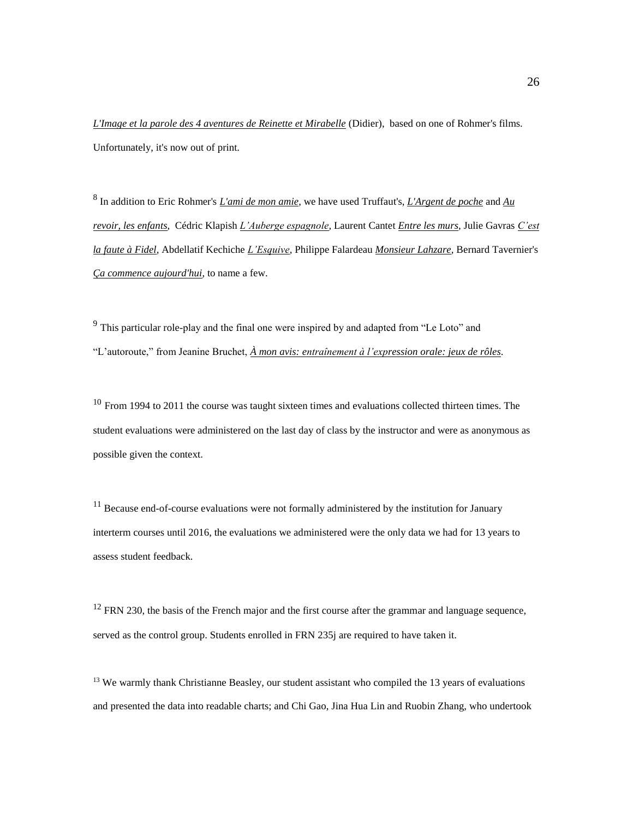*L'Image et la parole des 4 aventures de Reinette et Mirabelle* (Didier), based on one of Rohmer's films. Unfortunately, it's now out of print.

8 In addition to Eric Rohmer's *L'ami de mon amie*, we have used Truffaut's, *L'Argent de poche* and *Au revoir, les enfants,* Cédric Klapish *L'Auberge espagnole,* Laurent Cantet *Entre les murs,* Julie Gavras *C'est la faute à Fidel,* Abdellatif Kechiche *L'Esquive,* Philippe Falardeau *Monsieur Lahzare,* Bernard Tavernier's *Ça commence aujourd'hui*, to name a few.

 $9<sup>9</sup>$  This particular role-play and the final one were inspired by and adapted from "Le Loto" and "L'autoroute," from Jeanine Bruchet, *À mon avis: entraînement à l'expression orale: jeux de rôles*.

 $10$  From 1994 to 2011 the course was taught sixteen times and evaluations collected thirteen times. The student evaluations were administered on the last day of class by the instructor and were as anonymous as possible given the context.

 $11$  Because end-of-course evaluations were not formally administered by the institution for January interterm courses until 2016, the evaluations we administered were the only data we had for 13 years to assess student feedback.

 $12$  FRN 230, the basis of the French major and the first course after the grammar and language sequence, served as the control group. Students enrolled in FRN 235j are required to have taken it.

<sup>13</sup> We warmly thank Christianne Beasley, our student assistant who compiled the 13 years of evaluations and presented the data into readable charts; and Chi Gao, Jina Hua Lin and Ruobin Zhang, who undertook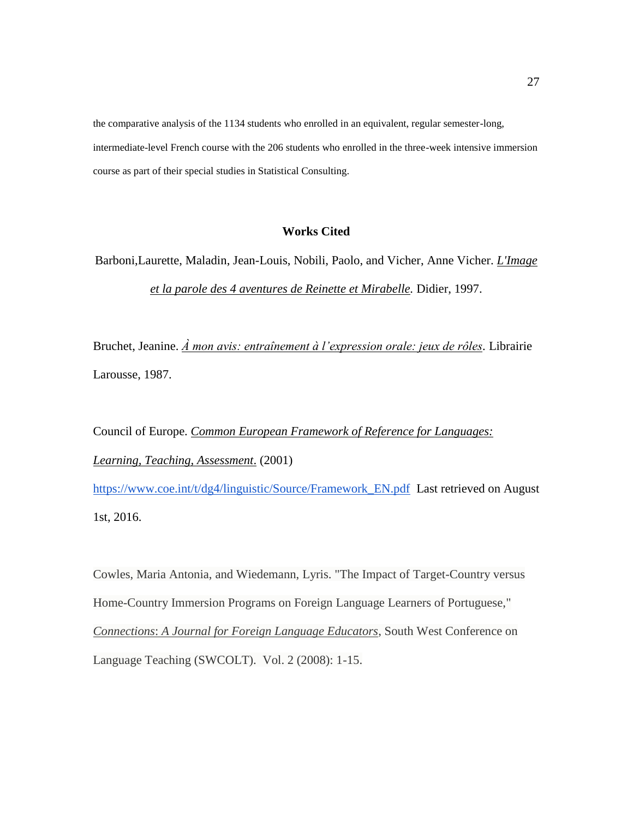the comparative analysis of the 1134 students who enrolled in an equivalent, regular semester-long, intermediate-level French course with the 206 students who enrolled in the three-week intensive immersion course as part of their special studies in Statistical Consulting.

## **Works Cited**

Barboni,Laurette, Maladin, Jean-Louis, Nobili, Paolo, and Vicher, Anne Vicher. *L'Image et la parole des 4 aventures de Reinette et Mirabelle.* Didier, 1997.

Bruchet, Jeanine. *À mon avis: entraînement à l'expression orale: jeux de rôles.* Librairie Larousse, 1987.

Council of Europe. *Common European Framework of Reference for Languages: Learning, Teaching, Assessment*. (2001) [https://www.coe.int/t/dg4/linguistic/Source/Framework\\_EN.pdf](https://www.coe.int/t/dg4/linguistic/Source/Framework_EN.pdf) Last retrieved on August 1st, 2016.

Cowles, Maria Antonia, and Wiedemann, Lyris. "The Impact of Target-Country versus Home-Country Immersion Programs on Foreign Language Learners of Portuguese," *Connections*: *A Journal for Foreign Language Educators*, South West Conference on Language Teaching (SWCOLT). Vol. 2 (2008): 1-15.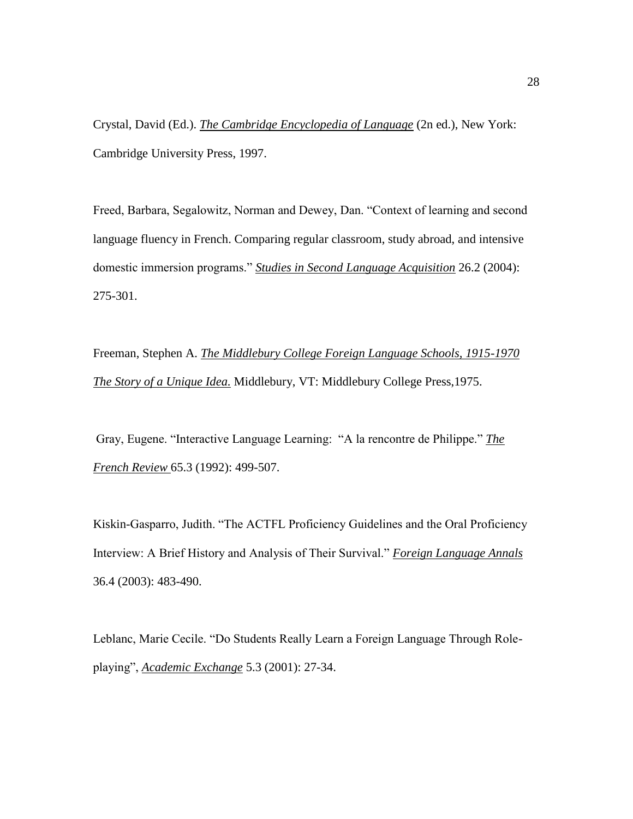Crystal, David (Ed.). *The Cambridge Encyclopedia of Language* (2n ed.), New York: Cambridge University Press, 1997.

Freed, Barbara, Segalowitz, Norman and Dewey, Dan. "Context of learning and second language fluency in French. Comparing regular classroom, study abroad, and intensive domestic immersion programs." *Studies in Second Language Acquisition* 26.2 (2004): 275-301.

Freeman, Stephen A. *The Middlebury College Foreign Language Schools, 1915-1970 The Story of a Unique Idea.* Middlebury, VT: Middlebury College Press,1975.

Gray, Eugene. "Interactive Language Learning: "A la rencontre de Philippe." *The French Review* 65.3 (1992): 499-507.

Kiskin-Gasparro, Judith. "The ACTFL Proficiency Guidelines and the Oral Proficiency Interview: A Brief History and Analysis of Their Survival." *Foreign Language Annals* 36.4 (2003): 483-490.

Leblanc, Marie Cecile. "Do Students Really Learn a Foreign Language Through Roleplaying", *Academic Exchange* 5.3 (2001): 27-34.